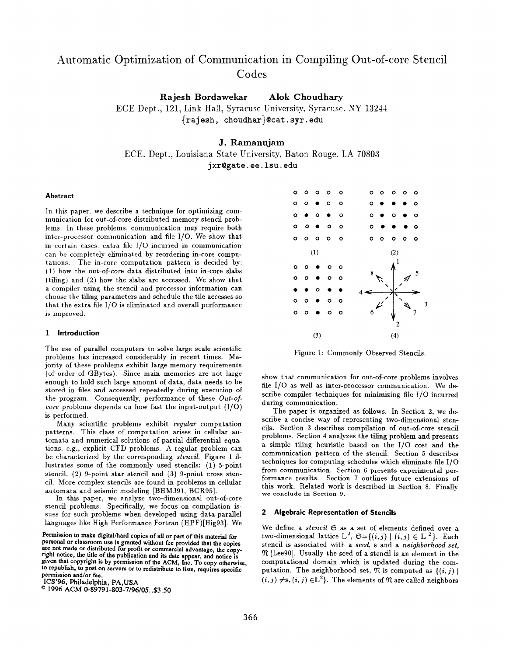# Automatic Optimization of Communication in Compiling Out-of-core Stencil Codes

Rajesh Bordawekar Alok Choudhary

ECE Dept., 121, Link Hall, Syracuse University, Syracuse. NY 13244 {raj esh, choudhar}@cat. syr. edu

# J. Ramanujam

ECE. Dept., Louisiana State University, Baton Rouge, LA 70803 jxr@gate. ee .lsu. edu

#### Abstract

In this paper. we describe a technique for optimizing communication for out-of-core distributed memory stencil problems. In these problems, communication may require both inter-processor communication and file 1/0. We show that in certain cases, extra file 1/0 incurred in communication can be completely eliminated by reordering in-core computations. The in-core computation pattern is decided by: (1) how the out-of-core data distributed into in-core slabs (tiling) and (2) how the slabs are accessed. We show that a compiler using the stencil and processor information can choose the tiling parameters and schedule the tile accesses so that the extra file  $I/O$  is eliminated and overall performance is improved.

#### 1 Introduction

The use of parallel computers to solve large scale scientific problems has increased considerably in recent times. Majority of these problems exhibit large memory requirements (of order of GBytes). Since main memories are not large enough to hold such large amount of data, data needs to be stored in files and accessed repeatedly during execution of the program. Consequently, performance of these Out-ofcore problems depends on how fast the input-output  $(I/O)$ is performed.

Many scientific problems exhibit regular computation patterns. This class of computation arises in cellular automata and numerical solutions of partial differential equations, e.g., explicit CFD problems. A regular problem can be characterized by the corresponding stencil. Figure 1 illustrates some of the commonly used stencils: (I) 5-point stencil,  $(2)$  9-point star stencil and  $(3)$  9-point cross stencil. More complex stencils are found in problems in cellular automata and seismic modeling [BHMJ91, BCR95].

In this paper, we analyze two-dimensional out-of-core stencil problems. Specifically, we focus on compilation issues for such problems when developed using data-parallel languages like High Performance Fortran (HPF)[Hig93]. We

@ 1996 ACM 0-89791-803-7196105. .\$3.50



Figure 1: Commonly Observed Stencils.

show that communication for out-of-core problems involves file 1/0 as well as inter-processor communication. We describe compiler techniques for minimizing file 1/0 incurred during communication.

The paper is organized as follows. In Section 2, we describe a concise way of representing two-dimensional stencils. Section 3 describes compilation of out-of-core stencil problems. Section 4 analyzes the tiling problem and presents a simple tiling heuristic based on the 1/0 cost and the communication pattern of the stencil. Section 5 describes techniques for computing schedules which eliminate file 1/O from communication. Section 6 presents experimental performance results. Section 7 outlines future extensions of this work. Related work is described in Section 8. Finally we conclude in Section 9.

# 2 Algebraic Representation of Stencils

We define a stencil  $G$  as a set of elements defined over a two-dimensional lattice  $\mathbb{L}^2$ ,  $\mathfrak{S} = \{(i, j) | (i, j) \in \mathbb{L}^2\}$ . Each stencil is associated with a seed, s and a neighborhood set,  $\mathfrak N$  [Lee90]. Usually the seed of a stencil is an element in the computational domain which is updated during the computation. The neighborhood set,  $\mathfrak N$  is computed as  $\{(i, j) \mid$  $(i, j) \neq$ s,  $(i, j) \in \mathbb{L}^2$ . The elements of  $\mathfrak{N}$  are called neighbors

Permission to make digital/hard copies of all or part of this material for personal or classroom use is granted without fee provided that the copies are not made or distributed for profit or commercial advantage, the copyright notice, the title of the publication and its date appear, and notice is given that copyright is by permission of the ACM, Inc. To copy otherwise, to republish, to post on servers or to redistribute to lists, requires specific permission and/or fee.

ICS'96, Philadelphia, PA,USA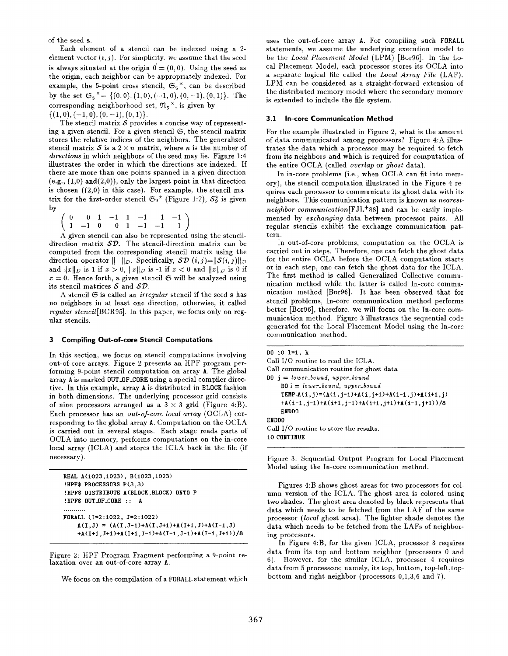of the seed s.

Each element of a stencil can be indexed usine a 2 element vector  $(i, j)$ . For simplicity, we assume that the seed is always situated at the origin  $\vec{0} = (0, 0)$ . Using the seed as the origin, each neighbor can be appropriately indexed. For example, the 5-point cross stencil,  $\mathfrak{S}_5^{\times}$ , can be described by the set  $\mathfrak{S}_5^{\times} = \{(0,0), (1,0), (-1,0), (0,-1), (0,1)\}.$  The corresponding neighborhood set,  $\mathfrak{N}_{\kappa}^{\times}$ , is given by

 $\{(1,0),(-1,0),(0,-1),(0,1)\}.$ 

The stencil matrix  $S$  provides a concise way of representing a given stencil. For a given stencil  $\mathfrak{S}$ , the stencil matrix stores the relative indices of the neighbors. The generalized stencil matrix S is a  $2 \times n$  matrix, where n is the number of directions in which neighbors of the seed may lie. Figure 1:4 illustrates the order in which the directions are indexed. If there are more than one points spanned in a given direction  $(e.g., (1,0) \text{ and } (2,0))$ , only the largest point in that direction is chosen  $((2,0)$  in this case). For example, the stencil matrix for the first-order stencil  $\mathfrak{S}_9^{\star}$  (Figure 1:2),  $\mathcal{S}_9^{\star}$  is given by

|  |  |  |  | $\left(\begin{array}{rrrrrrrr} 0 & 0 & 1 & -1 & 1 & -1 & 1 & -1 \ 1 & -1 & 0 & 0 & 1 & -1 & -1 & 1 \end{array}\right)$ |
|--|--|--|--|------------------------------------------------------------------------------------------------------------------------|

A given stencil can also be represented using the stencildirection matrix  $SD$ . The stencil-direction matrix can be computed from the corresponding stencil matrix using the direction operator  $|| \cdot ||_D$ . Specifically,  $\mathcal{SD}(i, j)=||\mathcal{S}(i, j)||_D$ and  $||x||_D$  is 1 if  $x > 0$ ,  $||x||_D$  is -1 if  $x < 0$  and  $||x||_D$  is 0 if  $x = 0$ . Hence forth, a given stencil  $\mathfrak S$  will be analyzed using its stencil matrices  $S$  and  $SD$ .

A stencil  $G$  is called an *irregular* stencil if the seed s has no neighbors in at least one direction, otherwise, it called regular stencil[BCR95]. In this paper, we focus only on regular stencils.

#### 3 Compiling Out-of-core Stencil Computations

In this section, we focus on stencil computations involving out-of-core arrays. Figure 2 presents an HPF program performing 9-point stencil computation on array A. The global array A is marked OUT.OF\_CORE using a special compiler directive. In this example, array A is distributed in BLOCK fashion in both dimensions. The underlying processor grid consists of nine processors arranged as a  $3 \times 3$  grid (Figure 4:B). Each processor has an out-of-core local array (OCLA) corresponding to the global array A. Computation on the OCLA is carried out in several stages. Each stage reads parts of OCLA into memory, performs computations on the in-core local array (ICLA) and stores the ICLA back in the file (if necessary).

```
REAL A(1023 ,1023) , B(1023,1023)
!HPF$ PROCESSORS P(3,3)
! HPF$ DISTRIBUTE A(BLOCK ,BLOCK) OETO P
!HPF$ OUT_OF_CORE :: A
. . . . . . . . . .
FORALL (1=2: 1022, J=2 : 1022)
    A(I,J) = (A(I,J-1)+A(I,J+1)+A(I+1,J)+A(I-1,J)+A(I+1, J+1)+A(I+1, J-1)+A(I-1, J-1)+A(I-1, J+1))/8
```
Figure 2: HPF Program Fragment performing a 9-point relaxation over an out-of-core array A.

We focus on the compilation of a FORALL statement which

uses the out-of-core array A. For compiling such FORALL statements, we assume the underlying execution model to be the Local Placement Model (LPM) [Bor96]. In the Local Placement Model, each processor stores its OCLA into a separate logical file called the Local Array File (LAF). LPM can be considered as a straight-forward extension of the distributed memory model where the secondary memory is extended to include the file system.

#### 3.1 In-core Communication Method

For the example illustrated in Figure 2, what is the amount of data communicated among processors? Figure 4:A illustrates the data which a processor may be required to fetch from its neighbors and which is required for computation of the entire OCLA (called *overlap* or *ghost* data).

In in-core problems (i.e., when OCLA can fit into memory), the stencil computation illustrated in the Figure 4 requires each processor to communicate its ghost data with its neighbors. This communication pattern is known as nearestneighbor communication $[$  FJL<sup>+88</sup>] and can be easily implemented by exchanging data between processor pairs. Alf regular stencils exhibit the exchange communication pattern.

In out-of-core problems, computation on the OCLA is carried out in steps. Therefore, one can fetch the ghost data for the entire OCLA before the OCLA computation starts or in each step, one can fetch the ghost data for the ICLA. The first method is called Generalized Collective communication method while the latter is called In-core communication method [Bor96]. It has been observed that for stencil problems, In-core communication method performs better [Bor96], therefore, we will focus on the In-core communication method. Figure 3 illustrates the sequential code generated for the Locaf Placement Model using the In-core communication method.

```
DO 10 1=1 , k
Call 1/0 routine to read the ICLA.
Call communication routine for ghost data
DO j = lower-bound, upper-bound
    D0 i = lower-bound, upper-bound
    TEMP_A(i,j)=(A(i,j-1)+A(i,j+1)+A(i-1,j)+A(i+1,j)
    +A(i-1, j-1)+A(i+1, j-1)+A(i+1, j+1)+A(i-1, j+1))/8ENDDO
EEDDO
Call 1/0 routine to store the results.
10 CONTINUE
```
Figure 3: Sequential Output Program for Local Placement Model using the In-core communication method.

Figures 4:B shows ghost areas for two processors for column version of the ICLA. The ghost area is colored using two shades. The ghost area denoted by black represents that data which needs to be fetched from the LAF of the same processor (local ghost area). The lighter shade denotes the data which needs to be fetched from the LAFs of neighboring processors.

In Figure 4:B, for the given ICLA, processor 3 requires data from its top and bottom neighbor (processors O and 6). However, for the similar ICLA, processor 4 requires data from 5 processors; namely, its top, bottom, top-left, topbottom and right neighbor (processors 0,1,3,6 and 7).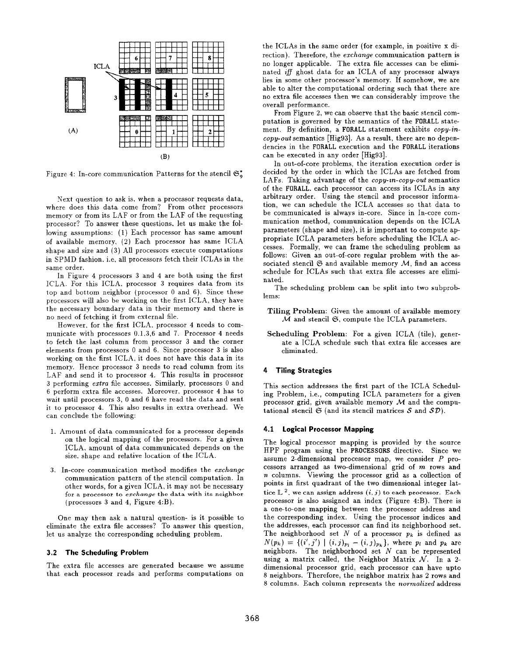

Figure 4: In-core communication Patterns for the stencil  $\mathfrak{S}_{\alpha}^{*}$ 

Next question to ask is. when a processor requests data, where does this data come from? From other processors memory or from its LAF or from the LAF of the requesting processor? To answer these questions. let us make the following assumptions: (I) Each processor has same amount of available memory, (2) Each processor has same lCLA shape and size and (3) All processors execute computations in SPMD fashion. i.e, all processors fetch their ICLAs in the same order.

In Figure 4 processors 3 and 4 are both using the first ICLA. For this ICLA. processor 3 requires data from its top and bottom neighbor (processor O and 6). Since these processors will also be working on the first ICLA, they have the necessary boundary data in their memory and there is no need of fetching it from external file.

However, for the first ICLA. processor 4 needs to communicate with processors 0.1,3,6 and 7. Processor 4 needs to fetch the last column from processor 3 and the corner elements from processors O and 6. Since processor 3 is also working on the first ICLA, it does not have this data in its memory. Hence processor 3 needs to read column from its LAF and send it to processor 4. This results in processor 3 performing extra file accesses. Similarly, processors O and 6 perform extra file accesses. Moreover, processor 4 has to wait until processors 3, 0 and 6 have read the data and sent it to processor 4. This also results in extra overhead. We can conclude the following:

- 1. Amount of data communicated for a processor depends on the logical mapping of the processors. For a given ICLA. amount of data communicated depends on the size. shape and relative location of the ICLA.
- 3. In-core communication method modifies the exchange communication pattern of the stencil computation. In other words, for a given ICLA, it may not be necessary for a processor to exchange the data with its neighbor (processors  $3$  and  $4$ , Figure  $4:B$ ).

One may then ask a natural question- is it possible to eliminate the extra file accesses? To answer this question, let us analyze the corresponding scheduling problem.

#### 3.2 The Scheduling Problem

The extra file accesses are generated because we assume that each processor reads and performs computations on the ICLAS in the same order (for example, in positive x direction). Therefore, the *exchange* communication pattern is no longer applicable. The extra file accesses can be eliminated ifl ghost data for an ICLA of any processor always lies in some other processor's memory. If somehow, we are able to alter the computational ordering such that there are no extra file accesses then we can considerably improve the overall performance.

From Figure 2, we can observe that the basic stencil computation is governed by the semantics of the FORALL statement. By definition, a FORALL statement exhibits copy-incopg-out semantics [Hig93]. As a result, there are no dependencies in the FORALL execution and the FORALL iterations can be executed in any order [Hig93].

In out-of-core problems, the iteration execution order is decided by the order in which the ICLAS are fetched from LAFs. Taking advantage of the copy-m-copy-out semantics of the FORALL. each processor can access its ICLAS in any arbitrary order. Using the stencil and processor information, we can schedule the ICLA accesses so that data to be communicated is always in-core. Since in In-core communication method, communication depends on the ICLA parameters (shape and size), it is important to compute appropriate ICLA parameters before scheduling the ICLA accesses. Formally, we can frame the scheduling problem as follows: Given an out-of-core regular problem with the associated stencil  $G$  and available memory  $M$ , find an access schedule for ICLAS such that extra file accesses are eliminated.

The scheduling problem can be split into two subproblems:

- Tiling Problem: Given the amount of available memory  $\overline{\mathcal{M}}$  and stencil  $\mathfrak{S}$ , compute the ICLA parameters.
- Scheduling Problem: For a given ICLA (tile), generate a ICLA schedule such that extra file accesses are eliminated.

## 4 Tiling Strategies

This section addresses the first part of the ICLA Scheduling Problem, i.e., computing IC LA parameters for a given processor grid, given available memory  $M$  and the computational stencil  $\mathfrak S$  (and its stencil matrices S and  $\mathcal{SD}$ ).

## 4.1 Logical Processor Mapping

The logical processor mapping is provided by the source HPF program using the PROCESSORS directive. Since we assume 2-dimensional processor map, we consider P processors arranged as two-dimensional grid of m rows and n columns. Viewing the processor grid as a collection of points in first quadrant of the two dimensional integer lattice  $\mathbb{L}^2$ , we can assign address  $(i, j)$  to each processor. Each processor is also assigned an index (Figure 4: B). There is a one-to-one mapping between the processor address and the corresponding index. Using the processor indices and the addresses, each processor can find its neighborhood set. The neighborhood set N of a processor  $p_k$  is defined as  $N(p_k) = \{(i', j') \mid (i, j)_{p_i} - (i, j)_{p_k}\}\$ , where  $p_i$  and  $p_k$  are neighbors. The neighborhood set  $N$  can be represented using a matrix called, the Neighbor Matrix  $N$ . In a 2dimensional processor grid, each processor can have upto 8 neighbors, Therefore, the neighbor matrix has 2 rows and 8 columns. Each column represents the normalized address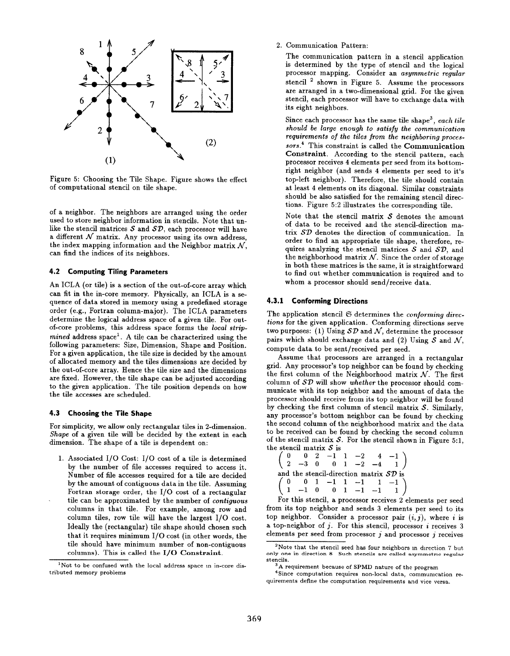

Figure 5: Choosing the Tile Shape. Figure shows the effect of computational stencil on tile shape.

of a neighbor. The neighbors are arranged using the order used to store neighbor information in stencils. Note that unlike the stencil matrices  $S$  and  $SD$ , each processor will have a different  $\mathcal N$  matrix. Any processor using its own address, the index mapping information and the Neighbor matrix  $N$ , can find the indices of its neighbors.

# 4.2 Computing Tiling Parameters

An ICLA (or tile) is a section of the out-of-core array which can fit in the in-core memory. Physically, an ICLA is a sequence of data stored in memory using a predefined storage order (e.g., Fortran column-major), The ICLA parameters determine the logical address space of a given tile. For outof-core problems, this address space forms the local strip $mined$  address space<sup>1</sup>. A tile can be characterized using the following parameters: Size, Dimension, Shape and Position. For a given application, the tile size is decided by the amount of allocated memory and the tiles dimensions are decided by the out-of-core array. Hence the tile size and the dimensions are fixed. However, the tile shape can be adjusted according to the given application. The tile position depends on how the tile accesses are scheduled.

# 4.3 Choosing the Tile Shape

For simplicity, we allow only rectangular tiles in 2-dimension. Shape of a given tile will be decided by the extent in each dimension. The shape of a tile is dependent on:

1. Associated 1/0 Cost: 1/0 cost of a tile is determined by the number of file accesses required to access it. Number of file accesses required for a tile are decided by the amount of contiguous data in the tile. Assuming Fortran storage order, the 1/0 cost of a rectangular tile can be approximated by the number of contiguous columns in that tile. For example, among row and column tiles, row tile will have the largest 1/O cost. Ideally the (rectangular) tile shape should chosen such that it requires minimum 1/0 cost (in other words, the tile should have minimum number of non-contiguous columns). This is called the 1/0 Constraint.

2. Communication Pattern:

The communication pattern in a stencil application is determined by the type of stencil and the logical processor mapping. Consider an asymmetric regular stencil 2 shown in Figure 5. Assume the processors are arranged in a two-dimensional grid. For the given stencil, each processor will have to exchange data with its eight neighbors.

Since each processor has the same tile shape<sup>3</sup>, each tile should be large enough to satisfy the communication requirements of the tiles from the neighboring proces. sors.4 This constraint is called the Communication Constraint. According to the stencil pattern, each processor receives 4 elements per seed from its bottomright neighbor (and sends 4 elements per seed to it's top-left neighbor). Therefore, the tile should contain at least 4 elements on its diagonal. Similar constraints should be also satisfied for the remaining stencil directions. Figure 5:2 illustrates the corresponding tile.

Note that the stencil matrix  $S$  denotes the amount of data to be received and the stencil-direction matrix SD denotes the direction of communication. In order to find an appropriate tile shape, therefore, requires analyzing the stencil matrices  $S$  and  $SD$ , and the neighborhood matrix  $N$ . Since the order of storage in both these matrices is the same, it is straightforward to find out whether communication is required and to whom a processor should send/receive data.

#### 4.3.1 Conforming Directions

The application stencil  $G$  determines the conforming directions for the given application. Conforming directions serve two purposes: (1) Using  $S\mathcal{D}$  and  $\mathcal{N}$ , determine the processor pairs which should exchange data and (2) Using  $S$  and  $N$ , compute data to be sent/received per seed.

Assume that processors are arranged in a rectangular grid. Any processor's top neighbor can be found by checking the first column of the Neighborhood matrix  $N$ . The first column of  $\mathcal{SD}$  will show whether the processor should communicate with its top neighbor and the amount of data the processor should receive from its top neighbor will be found by checking the first column of stencil matrix  $S$ . Similarly, any processor's bottom neighbor can be found by checking the second column of the neighborhood matrix and the data to be received can be found by checking the second column of the stencil matrix  $S$ . For the stencil shown in Figure 5:1, the stencil matrix  $S$  is<br>  $\begin{pmatrix} 0 & 0 & 2 & -1 \end{pmatrix}$ 

```
\overline{a}0 \t 0 \t 2 \t -1 \t 1 \t -2 \t 4 \t -12 –3 0 0 1 –2 –4 1
and the stencil-direction matrix SD is
\overline{a}0 0 1 -1 1 -1 1 -11 –1 0 0 1 –1 –1 1
```
For this stencil, a processor receives 2 elements per seed from its top neighbor and sends 3 elements per seed to its top neighbor. Consider a processor pair  $(i, j)$ , where i is a top-neighbor of  $j$ . For this stencil, processor  $i$  receives  $3$ elements per seed from processor  $j$  and processor  $j$  receives

<sup>&</sup>lt;sup>1</sup>Not to be confused with the local address space in in-core distributed memory problems

<sup>&</sup>lt;sup>2</sup>Note that the stencil seed has four neighbors in direction  $7$  but only one in direction 8 Such stencils are called asymmetric regular stencils.

<sup>&</sup>lt;sup>3</sup>A requirement because of SPMD nature of the program

<sup>&</sup>lt;sup>4</sup>Since computation requires non-local data, communication requirements define the computation requirements and vice versa.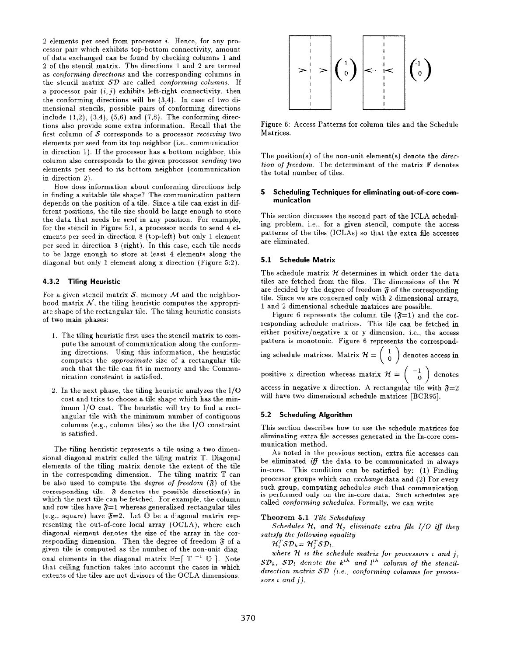2 elements per seed from processor i. Hence, for any processor pair which exhibits top-bottom connectivity, amount of data exchanged can be found by checking columns 1 and 2 of the stencil matrix. The directions 1 and 2 are termed as *conforming directions* and the corresponding columns in the stencil matrix  $SD$  are called *conforming columns*. If a processor pair  $(i, j)$  exhibits left-right connectivity. then the conforming directions will be (3,4). In case of two dimensional stencils, possible pairs of conforming directions include  $(1,2)$ ,  $(3,4)$ ,  $(5,6)$  and  $(7,8)$ . The conforming directions also provide some extra information. Recall that the first column of  $S$  corresponds to a processor receiving two elements per seed from its top neighbor (i.e., communication in direction 1). If the processor has a bottom neighbor, this column also corresponds to the given processor sending two elements per seed to its bottom neighbor (communication in direction 2).

How does information about conforming directions help in finding a suitable tile shape? The communication pattern depends on the position of a tile. Since a tile can exist in different positions, the tile size should be large enough to store the data that needs be sent in any position. For example, for the stencil in Figure 5:1, a processor needs to send 4 elements per seed in direction 8 (top-left) but only 1 element per seed in direction 3 (right). In this case, each tile needs to be large enough to store at least 4 elements along the diagonal but only 1 element along x direction (Figure 5:2).

#### 4.3.2 Tiling Heuristic

For a given stencil matrix  $S$ , memory  $M$  and the neighborhood matrix  $N$ , the tiling heuristic computes the appropriate shape of the rectangular tile. The tiling heuristic consists of two main phases:

- 1. The tiling heuristic first uses the stencil matrix to compute the amount of communication along the conforming directions. Using this information, the heuristic computes the approximate size of a rectangular tile such that the tile can fit in memory and the Communication constraint is satisfied.
- 2. In the next phase, the tiling heuristic analyzes the 1/0 cost and tries to choose a tile shape which has the minimum 1/0 cost. The heuristic will try to find a rectangular tile with the minimum number of contiguous columns (e.g., column tiles) so the the I/O constraint is satisfied.

The tiling heuristic represents a tile using a two dimensional diagonal matrix called the tiling matrix T. Diagonal elements of the tiling matrix denote the extent of the tile in the corresponding dimension. The tiling matrix T can be also used to compute the *degree of freedom*  $(\mathfrak{F})$  of the corresponding tile.  $\mathfrak F$  denotes the possible direction(s) in which the next tile can be fetched. For example, the column and row tiles have  $\mathfrak{F}=1$  whereas generalized rectangular tiles (e.g., square) have  $\mathfrak{F}=2$ . Let  $\mathbb O$  be a diagonal matrix representing the out-of-core local array (OCLA), where each diagonal element denotes the size of the array in the corresponding dimension. Then the degree of freedom  $\mathfrak F$  of a given tile is computed as the number of the non-unit diagonal elements in the diagonal matrix  $\mathbb{F}=[\mathbb{T}^{-1} \ \mathbb{O} ]$ . Note that ceiling function takes into account the cases in which extents of the tiles are not divisors of the OCLA dimensions.



Figure 6: Access Patterns for column tiles and the Schedule Matrices.

The position(s) of the non-unit element(s) denote the direction of freedom. The determinant of the matrix  $F$  denotes the total number of tiles.

#### 5 Scheduling Techniques for eliminating out-of-core communication

This section discusses the second part of the ICLA scheduling problem. i.e.. for a given stencil, compute the access patterns of the tiles (ICLAs) so that the extra file accesses are eliminated.

#### 5.1 Schedule Matrix

The schedule matrix  $H$  determines in which order the data tiles are fetched from the files. The dimensions of the  $H$ are decided by the degree of freedom  $\mathfrak F$  of the corresponding tile. Since we are concerned only with 2-dimensional arrays, 1 and 2 dimensional schedule matrices are possible.

Figure 6 represents the column tile  $(\mathfrak{F}=1)$  and the corresponding schedule matrices. This tile can be fetched in either positive/negative x or y dimension, i.e., the access pattern is monotonic. Figure 6 represents the correspond- () ing schedule matrices. Matrix  $\mathcal{H} = \begin{pmatrix} 1 \ 0 \end{pmatrix}$  denotes access in positive x direction whereas matrix  $\mathcal{H} = \begin{pmatrix} -1 \\ 0 \end{pmatrix}$  $\bar{\rm_{o}}$  ) denote access in negative x direction. A rectangular tile with  $\mathfrak{F}=2$ will have two dimensional schedule matrices [BCR95].

#### 5.2 Scheduling Algorithm

This section describes how to use the schedule matrices for eliminating extra file accesses generated in the In-core communication method.

As noted in the previous section, extra file accesses can be eliminated iff the data to be communicated in always in-core. This condition can be satisfied by: (1) Finding processor groups which can ezchange data and (2) For every such group, computing schedules such that communication is performed only on the in-core data. Such schedules are called conforming schedules. Formally, we can write

#### Theorem 5.1 Tile Scheduling

Schedules  $\mathcal{H}_1$  and  $\mathcal{H}_2$  eliminate extra file  $I/O$  iff they satisfy the following equality

 $\mathcal{H}_i^T \mathcal{S} \mathcal{D}_k = \mathcal{H}_i^T \mathcal{S} \mathcal{D}_l$ .

where  $H$  is the schedule matrix for processors  $i$  and  $j$ ,  $SD_k$ ,  $SD_l$  denote the  $k^{th}$  and  $l^{th}$  column of the stencildirection matrix  $SD$  (i.e., conforming columns for processors  $i$  and  $j$ ).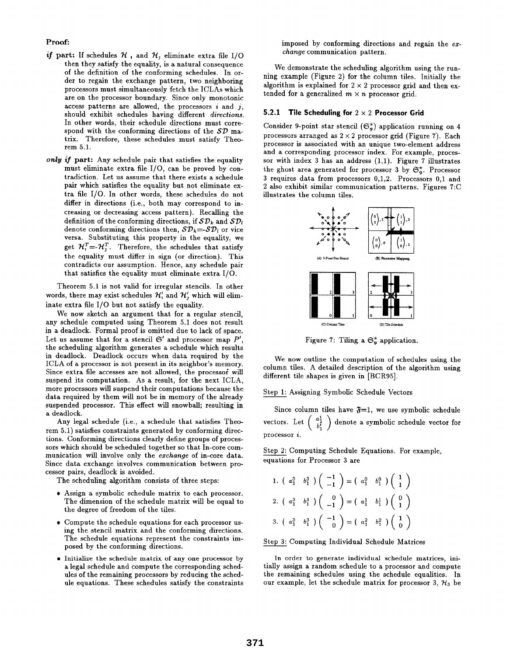# Proof:

- if part: If schedules  $\mathcal H$ , and  $\mathcal H$ , eliminate extra file I/O then they satisfy the equality, is a natural consequence of the definition of the conforming schedules. In order to regain the exchange pattern, two neighboring processors must simultaneously fetch the ICLAS which are on the processor boundary. Since only monotonic access patterns are allowed, the processors  $i$  and  $j$ , should exhibit schedules having different directions. In other words, their schedule directions must correspond with the conforming directions of the  $SD$  matrix. Therefore, these schedules must satisfy Theorem 5.1.
- only if part: Any schedule pair that satisfies the equality must eliminate extra file 1/0, can be proved by contradiction. Let us assume that there exists a schedule pair which satisfies the equality but not eliminate extra file 1/0. In other words, these schedules do not differ in directions (i.e., both may correspond to increasing or decreasing access pattern). Recalling the definition of the conforming directions, if  $SD_k$  and  $SD_l$ denote conforming directions then,  $S\mathcal{D}_k = -S\mathcal{D}_l$  or vice versa. Substituting this property in the equality, we get  $\mathcal{H}_{i}^{T} = -\mathcal{H}_{i}^{T}$ . Therefore, the schedules that satisfy the equality must differ in sign (or direction). This contradicts our assumption. Hence, any schedule pair that satisfies the equality must eliminate extra 1/0.

Theorem 5.1 is not valid for irregular stencils. In other words, there may exist schedules  $\mathcal{H}'_i$  and  $\mathcal{H}'_j$  which will eliminate extra file 1/0 but not satisfy the equality.

We now sketch an argument that for a regular stencil, any schedule computed using Theorem 5.1 does not result in a deadlock. Formal proof is omitted due to lack of space. Let us assume that for a stencil  $\mathfrak{S}'$  and processor map  $P'$ , the scheduling algorithm generates a schedule which results in deadlock. Deadlock occurs when data required by the ICLA of a processor is not present in its neighbor's memory. Since extra file accesses are not allowed, the processoi will suspend its computation. As a result, for the next ICLA, more processors will suspend their computations because the data required by them will not be in memory of the already suspended processor. This effect will snowball; resulting in a deadlock.

Any legal schedule (i.e., a schedule that satisfies Theorem 5.1 ) satisfies constraints generated by conforming directions. Conforming directions clearly define groups of processors which should be scheduled together so that In-core communication will involve only the ezchange of in-core data. Since data exchange involves communication between processor pairs, deadlock is avoided.

The scheduling algorithm consists of three steps:

- $\bullet$  Assign a symbolic schedule matrix to each processo The dimension of the schedule matrix will be equal to the degree of freedom of the tiles.
- Compute the schedule equations for each processor using the stencil matrix and the conforming directions. The schedule equations represent the constraints imposed by the conforming directions.
- Initialize the schedule matrix of any one processor by a legal schedule and compute the corresponding schedules of the remaining processors by reducing the schedule equations. These schedules satisfy the constraints

imposed by conforming directions and regain the  $ex$ change communication pattern.

We demonstrate the scheduling algorithm using the running example (Figure 2) for the column tiles. Initially the algorithm is explained for  $2 \times 2$  processor grid and then extended for a generalized  $m \times n$  processor grid.

## 5.2.1 Tile Scheduling for  $2 \times 2$  Processor Grid

Consider 9-point star stencil  $(\mathfrak{S}_{\alpha}^{*})$  application running on 4 processors arranged as  $2 \times 2$  processor grid (Figure 7). Each processor is associated with an unique two-element address and a corresponding processor index. For example, processor with index 3 has an address  $(1,1)$ . Figure 7 illustrates the ghost area generated for processor 3 by  $\mathfrak{S}_{\alpha}^*$ . Processor 2 also exhibit similar communication patterns. Figures 7:C illustrates the column tiles.



Figure 7: Tiling a  $\mathfrak{S}_{\alpha}^*$  application.

We now outline the computation of schedules using the column tiles. A detailed description of the algorithm using different tile shapes is given in [BCR95].

### Step 1: Assigning Symbolic Schedule Vectors

Since column tiles have  $\mathfrak{F}=1$ , we use symbolic schedule vectors. Let  $\begin{pmatrix} 1 \ b_1^1 \end{pmatrix}$  denote a symbolic schedule vector for processor  $i$ .

Step 2: Computing Schedule Equations. For example, equations for Processor 3 are

1. 
$$
\begin{pmatrix} a_1^3 & b_1^3 \end{pmatrix} \begin{pmatrix} -1 \\ -1 \end{pmatrix} = \begin{pmatrix} a_1^0 & b_1^0 \end{pmatrix} \begin{pmatrix} 1 \\ 1 \end{pmatrix}
$$
  
\n2.  $\begin{pmatrix} a_1^3 & b_1^3 \end{pmatrix} \begin{pmatrix} 0 \\ -1 \end{pmatrix} = \begin{pmatrix} a_1^1 & b_1^1 \end{pmatrix} \begin{pmatrix} 0 \\ 1 \end{pmatrix}$   
\n3.  $\begin{pmatrix} a_1^3 & b_1^3 \end{pmatrix} \begin{pmatrix} -1 \\ 0 \end{pmatrix} = \begin{pmatrix} a_1^2 & b_1^2 \end{pmatrix} \begin{pmatrix} 1 \\ 0 \end{pmatrix}$ 

Step 3: Computing Individual Schedule Matrices

In order to generate individual schedule matrices, ini. tially assign a random schedule to a processor and compute the remaining schedules using the schedule equalities. In our example, let the schedule matrix for processor 3,  $H_3$  be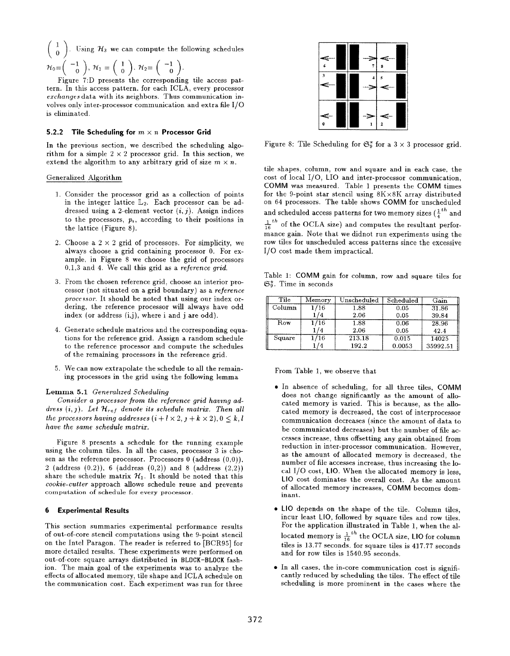$$
\begin{pmatrix} 1 \\ 0 \end{pmatrix}
$$
. Using  $\mathcal{H}_3$  we can compute the following schedule  
\n $\mathcal{H}_0 = \begin{pmatrix} -1 \\ 0 \end{pmatrix}$ ,  $\mathcal{H}_1 = \begin{pmatrix} 1 \\ 0 \end{pmatrix}$ ,  $\mathcal{H}_2 = \begin{pmatrix} -1 \\ 0 \end{pmatrix}$ .

Figure 7:D presents the corresponding tile access pattern. In this access pattern, for each ICLA, every processor ezchanges data with its neighbors. Thus communication involves only inter-processor communication and extra file 1/0 is eliminated.

#### 5.2.2 Tile Scheduling for  $m \times n$  Processor Grid

In the previous section, we described the scheduling algorithm for a simple  $2 \times 2$  processor grid. In this section, we extend the algorithm to any arbitrary grid of size  $m \times n$ .

#### Generalized Algorithm

- 1. Consider the processor grid as a collection of point in the integer lattice  $L_2$ . Each processor can be addressed using a 2-element vector  $(i, j)$ . Assign indices to the processors,  $p_i$ , according to their positions in the lattice (Figure 8).
- 2. Choose a  $2 \times 2$  grid of processors. For simplicity, we always choose a grid containing processor O. For example, in Figure 8 we choose the grid of processors  $0.1,3$  and 4. We call this grid as a reference grid.
- 3. From the chosen reference grid, choose an interior processor (not situated on a grid boundary) as a reference processor. It should be noted that using our index ordering, the reference processor will always have odd index (or address  $(i,j)$ , where i and j are odd).
- 4. Generate schedule matrices and the corresponding equations for the reference grid. Assign a random schedule to the reference processor and compute the schedules of the remaining processors in the reference grid.
- $5.$  We can now extrapolate the schedule to all the remain ing processors in the grid using the following lemma

# Lemma 5.1 Generalized Scheduling

Consider a processor from the reference grid having address  $(i, j)$ . Let  $\mathcal{H}_{ref}$  denote its schedule matrix. Then all the processors having addresses  $(i + l \times 2, j + k \times 2), 0 \leq k, l$ have the same schedule matrix.

Figure 8 presents a schedule for the running example using the column tiles. In all the cases, processor 3 is chosen as the reference processor. Processors  $0$  (address  $(0,0)$ ), 2 (address (0.2)), 6 (address (0,2)) and 8 (address (2,2)) share the schedule matrix  $\mathcal{H}_1$ . It should be noted that this cookie-cutter approach allows schedule reuse and prevents computation of schedule for every processor.

#### 6 Experimental Results

This section summaries experimental performance results of out-of-core stencil computations using the 9-point stencil on the Intel Paragon. The reader is referred to [BCR95] for more detailed results. These experiments were performed on out-of-core square arrays distributed in BLOCK-BLOCK fashion. The main goal of the experiments was to analyze the effects of allocated memory, tile shape and ICLA schedule on the communication cost. Each experiment was run for three



Figure 8: Tile Scheduling for  $\mathfrak{S}_{\alpha}^*$  for a  $3 \times 3$  processor grid.

tile shapes, column, row and square and in each case, the cost of local 1/O, LIO and inter-processor communication, COMM was measured. Table 1 presents the COMM times for the 9-point star stencil using  $8K \times 8K$  array distributed on 64 processors. The table shows COMM for unscheduled and scheduled access patterns for two memory sizes  $(\frac{1}{4}^{th}$  and  $\frac{1}{16}$ <sup>th</sup> of the OCLA size) and computes the resultant perfo mance gain. Note that we didnot run experiments using the row tiles for unscheduled access patterns since the excessive 1/0 cost made them impractical.

Table 1: COMM gain for column, row and square tiles for  $\mathfrak{S}_9^*$ . Time in seconds

| Tile   | Memory | Unscheduled | Scheduled | Gain     |
|--------|--------|-------------|-----------|----------|
| Column | 1/16   | 1.88        | 0.05      | 31.86    |
|        |        | 2.06        | 0.05      | 39.84    |
| Row    | 1/16   | 1.88        | 0.06      | 28.96    |
|        |        | 2.06        | 0.05      | 42.4     |
| Square | 1/16   | 213.18      | 0.015     | 14025    |
|        |        | 192.2       | 0.0053    | 35992.51 |

From Table 1, we observe that

- In absence of scheduling, for all three tiles, COMM does not change significantly as the amount of allocated memory is varied. This is because, as the allocated memory is decreased, the cost of interprocessor communication decreases (since the amount of data to be communicated decreases) but the number of file accesses increase, thus offsetting any gain obtained from reduction in inter-processor communication. However, as the amount of allocated memory is decreased, the number of file accesses increase, thus increasing the local 1/0 cost, LIO. When the allocated memory is less, LIO cost dominates the overall cost. As the amount of allocated memory increases, COMM becomes dominant.
- LIO depends on the shape of the tile. Column tiles, incur least LIO, followed by square tiles and row tiles. For the application illustrated in Table 1, when the allocated memory is  $\frac{1}{16}$  the OCLA size, LIO for colum tiles is  $13.77$  seconds, for square tiles is  $417.77$  second and for row tiles is 1540.95 seconds.
- In all cases, the in-core communication cost is significantly reduced by scheduling the tiles. The effect of tile scheduling is more prominent in the cases where the